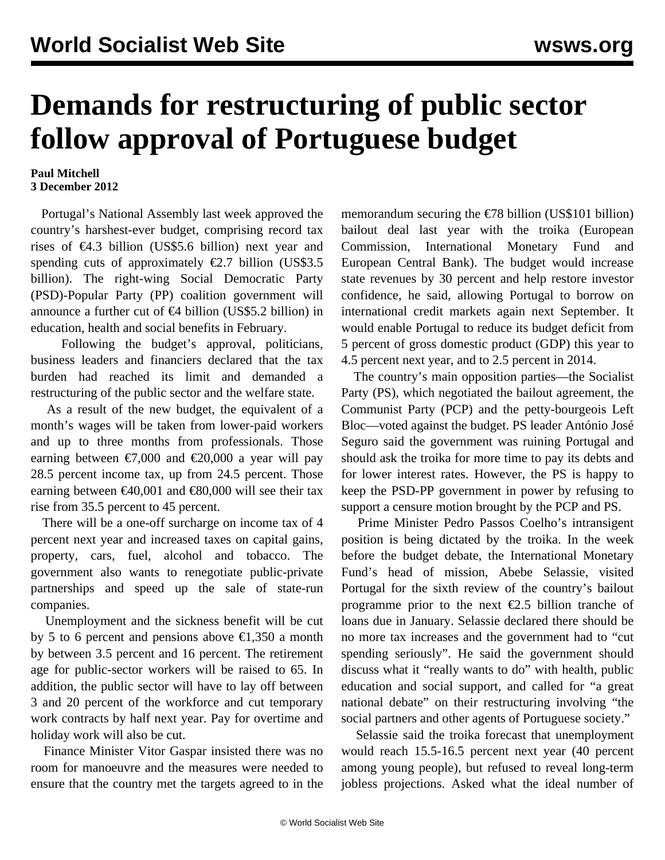## **Demands for restructuring of public sector follow approval of Portuguese budget**

## **Paul Mitchell 3 December 2012**

 Portugal's National Assembly last week approved the country's harshest-ever budget, comprising record tax rises of  $\epsilon$ 4.3 billion (US\$5.6 billion) next year and spending cuts of approximately  $\epsilon$ 2.7 billion (US\$3.5) billion). The right-wing Social Democratic Party (PSD)-Popular Party (PP) coalition government will announce a further cut of €4 billion (US\$5.2 billion) in education, health and social benefits in February.

 Following the budget's approval, politicians, business leaders and financiers declared that the tax burden had reached its limit and demanded a restructuring of the public sector and the welfare state.

 As a result of the new budget, the equivalent of a month's wages will be taken from lower-paid workers and up to three months from professionals. Those earning between  $\epsilon$ 7,000 and  $\epsilon$ 20,000 a year will pay 28.5 percent income tax, up from 24.5 percent. Those earning between  $\text{£}40,001$  and  $\text{£}80,000$  will see their tax rise from 35.5 percent to 45 percent.

 There will be a one-off surcharge on income tax of 4 percent next year and increased taxes on capital gains, property, cars, fuel, alcohol and tobacco. The government also wants to renegotiate public-private partnerships and speed up the sale of state-run companies.

 Unemployment and the sickness benefit will be cut by 5 to 6 percent and pensions above  $\epsilon$ 1,350 a month by between 3.5 percent and 16 percent. The retirement age for public-sector workers will be raised to 65. In addition, the public sector will have to lay off between 3 and 20 percent of the workforce and cut temporary work contracts by half next year. Pay for overtime and holiday work will also be cut.

 Finance Minister Vitor Gaspar insisted there was no room for manoeuvre and the measures were needed to ensure that the country met the targets agreed to in the memorandum securing the  $\epsilon$ 78 billion (US\$101 billion) bailout deal last year with the troika (European Commission, International Monetary Fund and European Central Bank). The budget would increase state revenues by 30 percent and help restore investor confidence, he said, allowing Portugal to borrow on international credit markets again next September. It would enable Portugal to reduce its budget deficit from 5 percent of gross domestic product (GDP) this year to 4.5 percent next year, and to 2.5 percent in 2014.

 The country's main opposition parties—the Socialist Party (PS), which negotiated the bailout agreement, the Communist Party (PCP) and the petty-bourgeois Left Bloc—voted against the budget. PS leader António José Seguro said the government was ruining Portugal and should ask the troika for more time to pay its debts and for lower interest rates. However, the PS is happy to keep the PSD-PP government in power by refusing to support a censure motion brought by the PCP and PS.

 Prime Minister Pedro Passos Coelho's intransigent position is being dictated by the troika. In the week before the budget debate, the International Monetary Fund's head of mission, Abebe Selassie, visited Portugal for the sixth review of the country's bailout programme prior to the next  $\epsilon$ 2.5 billion tranche of loans due in January. Selassie declared there should be no more tax increases and the government had to "cut spending seriously". He said the government should discuss what it "really wants to do" with health, public education and social support, and called for "a great national debate" on their restructuring involving "the social partners and other agents of Portuguese society."

 Selassie said the troika forecast that unemployment would reach 15.5-16.5 percent next year (40 percent among young people), but refused to reveal long-term jobless projections. Asked what the ideal number of